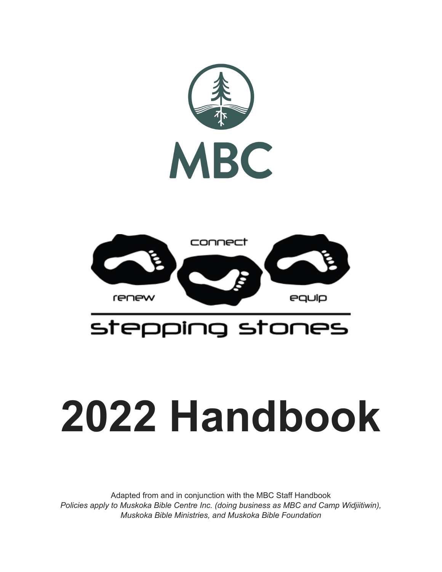

## stepping stones

# **2022 Handbook**

Adapted from and in conjunction with the MBC Staff Handbook *Policies apply to Muskoka Bible Centre Inc. (doing business as MBC and Camp Widjiitiwin), Muskoka Bible Ministries, and Muskoka Bible Foundation*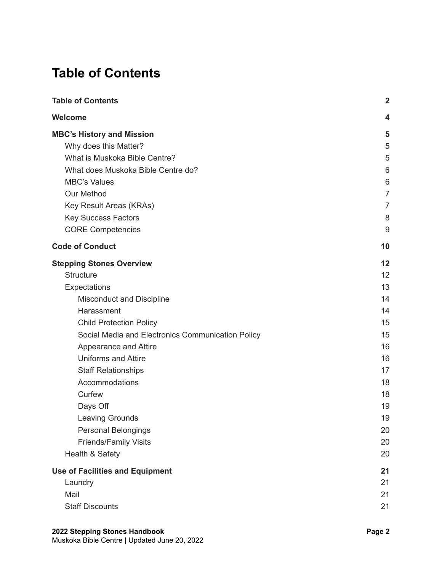## <span id="page-1-0"></span>**Table of Contents**

| <b>Table of Contents</b>                          |                |
|---------------------------------------------------|----------------|
| <b>Welcome</b>                                    | 4              |
| <b>MBC's History and Mission</b>                  | 5              |
| Why does this Matter?                             | 5              |
| What is Muskoka Bible Centre?                     | 5              |
| What does Muskoka Bible Centre do?                | 6              |
| <b>MBC's Values</b>                               | 6              |
| <b>Our Method</b>                                 | $\overline{7}$ |
| Key Result Areas (KRAs)                           | $\overline{7}$ |
| Key Success Factors                               | 8              |
| <b>CORE Competencies</b>                          | 9              |
| <b>Code of Conduct</b>                            | 10             |
| <b>Stepping Stones Overview</b>                   | 12             |
| <b>Structure</b>                                  | 12             |
| Expectations                                      | 13             |
| <b>Misconduct and Discipline</b>                  | 14             |
| Harassment                                        | 14             |
| <b>Child Protection Policy</b>                    | 15             |
| Social Media and Electronics Communication Policy | 15             |
| Appearance and Attire                             | 16             |
| <b>Uniforms and Attire</b>                        | 16             |
| <b>Staff Relationships</b>                        | 17             |
| Accommodations                                    | 18             |
| Curfew                                            | 18             |
| Days Off                                          | 19             |
| <b>Leaving Grounds</b>                            | 19             |
| <b>Personal Belongings</b>                        | 20             |
| <b>Friends/Family Visits</b>                      | 20             |
| Health & Safety                                   | 20             |
| <b>Use of Facilities and Equipment</b>            | 21             |
| Laundry                                           | 21             |
| Mail                                              | 21             |
| <b>Staff Discounts</b>                            | 21             |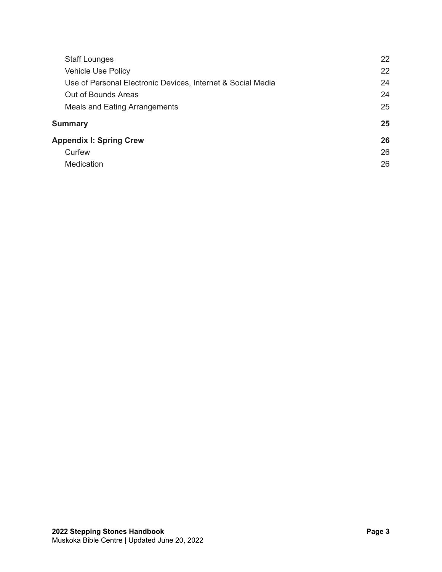| <b>Staff Lounges</b>                                        |    |
|-------------------------------------------------------------|----|
| <b>Vehicle Use Policy</b>                                   | 22 |
| Use of Personal Electronic Devices, Internet & Social Media |    |
| Out of Bounds Areas                                         | 24 |
| <b>Meals and Eating Arrangements</b>                        | 25 |
| <b>Summary</b>                                              | 25 |
| <b>Appendix I: Spring Crew</b>                              | 26 |
| Curfew                                                      | 26 |
| <b>Medication</b>                                           | 26 |
|                                                             |    |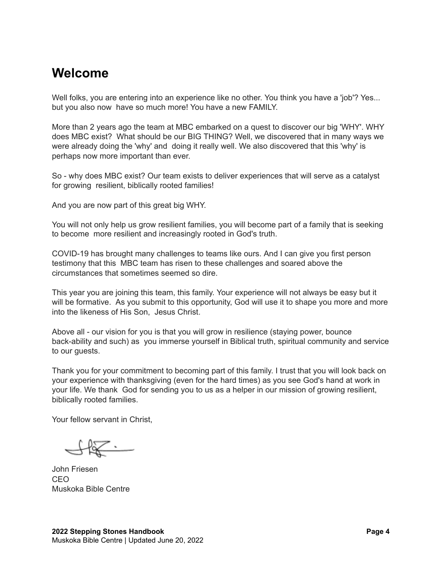## <span id="page-3-0"></span>**Welcome**

Well folks, you are entering into an experience like no other. You think you have a 'job'? Yes... but you also now have so much more! You have a new FAMILY.

More than 2 years ago the team at MBC embarked on a quest to discover our big 'WHY'. WHY does MBC exist? What should be our BIG THING? Well, we discovered that in many ways we were already doing the 'why' and doing it really well. We also discovered that this 'why' is perhaps now more important than ever.

So - why does MBC exist? Our team exists to deliver experiences that will serve as a catalyst for growing resilient, biblically rooted families!

And you are now part of this great big WHY.

You will not only help us grow resilient families, you will become part of a family that is seeking to become more resilient and increasingly rooted in God's truth.

COVID-19 has brought many challenges to teams like ours. And I can give you first person testimony that this MBC team has risen to these challenges and soared above the circumstances that sometimes seemed so dire.

This year you are joining this team, this family. Your experience will not always be easy but it will be formative. As you submit to this opportunity, God will use it to shape you more and more into the likeness of His Son, Jesus Christ.

Above all - our vision for you is that you will grow in resilience (staying power, bounce back-ability and such) as you immerse yourself in Biblical truth, spiritual community and service to our guests.

Thank you for your commitment to becoming part of this family. I trust that you will look back on your experience with thanksgiving (even for the hard times) as you see God's hand at work in your life. We thank God for sending you to us as a helper in our mission of growing resilient, biblically rooted families.

Your fellow servant in Christ.

 $\mathbb{K}^-$ 

John Friesen CEO Muskoka Bible Centre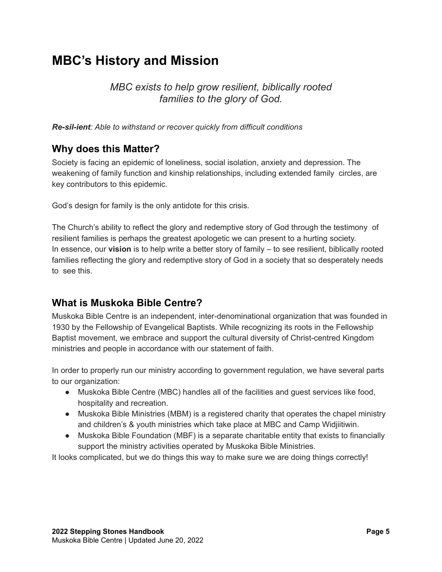## <span id="page-4-0"></span>**MBC's History and Mission**

#### *MBC exists to help grow resilient, biblically rooted families to the glory of God.*

<span id="page-4-1"></span>*Re-sil-ient: Able to withstand or recover quickly from difficult conditions*

#### **Why does this Matter?**

Society is facing an epidemic of loneliness, social isolation, anxiety and depression. The weakening of family function and kinship relationships, including extended family circles, are key contributors to this epidemic.

God's design for family is the only antidote for this crisis.

The Church's ability to reflect the glory and redemptive story of God through the testimony of resilient families is perhaps the greatest apologetic we can present to a hurting society. In essence, our **vision** is to help write a better story of family – to see resilient, biblically rooted families reflecting the glory and redemptive story of God in a society that so desperately needs to see this.

#### <span id="page-4-2"></span>**What is Muskoka Bible Centre?**

Muskoka Bible Centre is an independent, inter-denominational organization that was founded in 1930 by the Fellowship of Evangelical Baptists. While recognizing its roots in the Fellowship Baptist movement, we embrace and support the cultural diversity of Christ-centred Kingdom ministries and people in accordance with our statement of faith.

In order to properly run our ministry according to government regulation, we have several parts to our organization:

- Muskoka Bible Centre (MBC) handles all of the facilities and guest services like food, hospitality and recreation.
- Muskoka Bible Ministries (MBM) is a registered charity that operates the chapel ministry and children's & youth ministries which take place at MBC and Camp Widjiitiwin.
- Muskoka Bible Foundation (MBF) is a separate charitable entity that exists to financially support the ministry activities operated by Muskoka Bible Ministries.

It looks complicated, but we do things this way to make sure we are doing things correctly!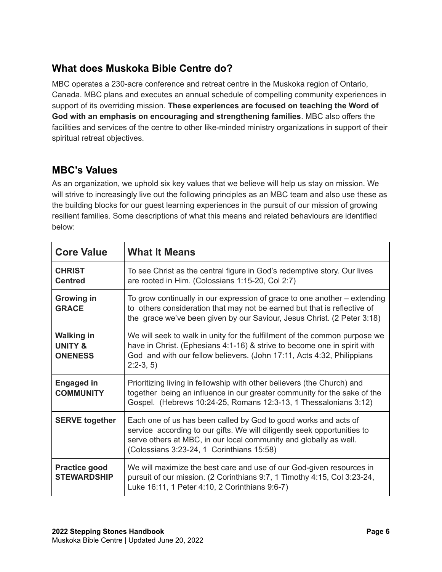#### <span id="page-5-0"></span>**What does Muskoka Bible Centre do?**

MBC operates a 230-acre conference and retreat centre in the Muskoka region of Ontario, Canada. MBC plans and executes an annual schedule of compelling community experiences in support of its overriding mission. **These experiences are focused on teaching the Word of God with an emphasis on encouraging and strengthening families**. MBC also offers the facilities and services of the centre to other like-minded ministry organizations in support of their spiritual retreat objectives.

#### <span id="page-5-1"></span>**MBC's Values**

As an organization, we uphold six key values that we believe will help us stay on mission. We will strive to increasingly live out the following principles as an MBC team and also use these as the building blocks for our guest learning experiences in the pursuit of our mission of growing resilient families. Some descriptions of what this means and related behaviours are identified below:

| <b>Core Value</b>                                         | <b>What It Means</b>                                                                                                                                                                                                                                          |
|-----------------------------------------------------------|---------------------------------------------------------------------------------------------------------------------------------------------------------------------------------------------------------------------------------------------------------------|
| <b>CHRIST</b><br><b>Centred</b>                           | To see Christ as the central figure in God's redemptive story. Our lives<br>are rooted in Him. (Colossians 1:15-20, Col 2:7)                                                                                                                                  |
| <b>Growing in</b><br><b>GRACE</b>                         | To grow continually in our expression of grace to one another – extending<br>to others consideration that may not be earned but that is reflective of<br>the grace we've been given by our Saviour, Jesus Christ. (2 Peter 3:18)                              |
| <b>Walking in</b><br><b>UNITY &amp;</b><br><b>ONENESS</b> | We will seek to walk in unity for the fulfillment of the common purpose we<br>have in Christ. (Ephesians 4:1-16) & strive to become one in spirit with<br>God and with our fellow believers. (John 17:11, Acts 4:32, Philippians<br>$2:2-3, 5$                |
| <b>Engaged in</b><br><b>COMMUNITY</b>                     | Prioritizing living in fellowship with other believers (the Church) and<br>together being an influence in our greater community for the sake of the<br>Gospel. (Hebrews 10:24-25, Romans 12:3-13, 1 Thessalonians 3:12)                                       |
| <b>SERVE together</b>                                     | Each one of us has been called by God to good works and acts of<br>service according to our gifts. We will diligently seek opportunities to<br>serve others at MBC, in our local community and globally as well.<br>(Colossians 3:23-24, 1 Corinthians 15:58) |
| <b>Practice good</b><br><b>STEWARDSHIP</b>                | We will maximize the best care and use of our God-given resources in<br>pursuit of our mission. (2 Corinthians 9:7, 1 Timothy 4:15, Col 3:23-24,<br>Luke 16:11, 1 Peter 4:10, 2 Corinthians 9:6-7)                                                            |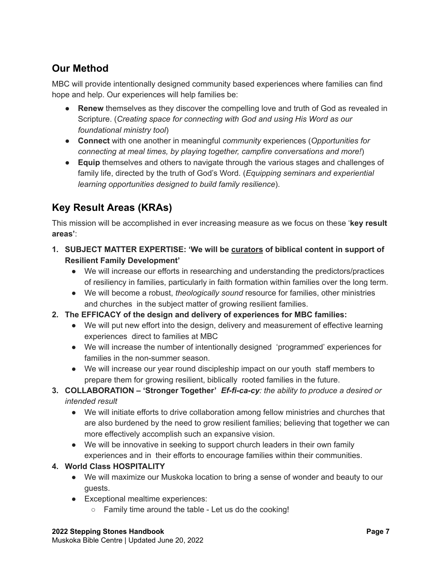## <span id="page-6-0"></span>**Our Method**

MBC will provide intentionally designed community based experiences where families can find hope and help. Our experiences will help families be:

- **Renew** themselves as they discover the compelling love and truth of God as revealed in Scripture. (*Creating space for connecting with God and using His Word as our foundational ministry tool*)
- **Connect** with one another in meaningful *community* experiences (*Opportunities for connecting at meal times, by playing together, campfire conversations and more!*)
- **Equip** themselves and others to navigate through the various stages and challenges of family life, directed by the truth of God's Word. (*Equipping seminars and experiential learning opportunities designed to build family resilience*).

## <span id="page-6-1"></span>**Key Result Areas (KRAs)**

This mission will be accomplished in ever increasing measure as we focus on these '**key result areas'**:

- **1. SUBJECT MATTER EXPERTISE: 'We will be curators of biblical content in support of Resilient Family Development'**
	- **●** We will increase our efforts in researching and understanding the predictors/practices of resiliency in families, particularly in faith formation within families over the long term.
	- **●** We will become a robust, *theologically sound* resource for families, other ministries and churches in the subject matter of growing resilient families.
- **2. The EFFICACY of the design and delivery of experiences for MBC families:**
	- We will put new effort into the design, delivery and measurement of effective learning experiences direct to families at MBC
	- We will increase the number of intentionally designed 'programmed' experiences for families in the non-summer season.
	- We will increase our year round discipleship impact on our youth staff members to prepare them for growing resilient, biblically rooted families in the future.
- **3. COLLABORATION – 'Stronger Together'** *Ef-fi-ca-cy: the ability to produce a desired or intended result*
	- We will initiate efforts to drive collaboration among fellow ministries and churches that are also burdened by the need to grow resilient families; believing that together we can more effectively accomplish such an expansive vision.
	- We will be innovative in seeking to support church leaders in their own family experiences and in their efforts to encourage families within their communities.

#### **4. World Class HOSPITALITY**

- We will maximize our Muskoka location to bring a sense of wonder and beauty to our guests.
- Exceptional mealtime experiences:
	- Family time around the table Let us do the cooking!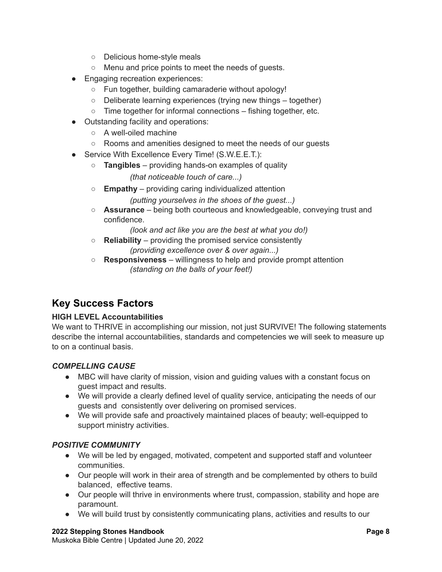- Delicious home-style meals
- Menu and price points to meet the needs of guests.
- Engaging recreation experiences:
	- Fun together, building camaraderie without apology!
	- Deliberate learning experiences (trying new things together)
	- Time together for informal connections fishing together, etc.
- Outstanding facility and operations:
	- A well-oiled machine
	- Rooms and amenities designed to meet the needs of our guests
- Service With Excellence Every Time! (S.W.E.E.T.):
	- **Tangibles** providing hands-on examples of quality *(that noticeable touch of care...)*
	- **Empathy** providing caring individualized attention
		- *(putting yourselves in the shoes of the guest...)*
	- **Assurance** being both courteous and knowledgeable, conveying trust and confidence.

*(look and act like you are the best at what you do!)*

- **Reliability** providing the promised service consistently *(providing excellence over & over again...)*
- **Responsiveness** willingness to help and provide prompt attention *(standing on the balls of your feet!)*

#### <span id="page-7-0"></span>**Key Success Factors**

#### **HIGH LEVEL Accountabilities**

We want to THRIVE in accomplishing our mission, not just SURVIVE! The following statements describe the internal accountabilities, standards and competencies we will seek to measure up to on a continual basis.

#### *COMPELLING CAUSE*

- MBC will have clarity of mission, vision and guiding values with a constant focus on guest impact and results.
- We will provide a clearly defined level of quality service, anticipating the needs of our guests and consistently over delivering on promised services.
- We will provide safe and proactively maintained places of beauty; well-equipped to support ministry activities.

#### *POSITIVE COMMUNITY*

- We will be led by engaged, motivated, competent and supported staff and volunteer communities.
- Our people will work in their area of strength and be complemented by others to build balanced, effective teams.
- Our people will thrive in environments where trust, compassion, stability and hope are paramount.
- We will build trust by consistently communicating plans, activities and results to our

#### **2022 Stepping Stones Handbook Page 8**

Muskoka Bible Centre | Updated June 20, 2022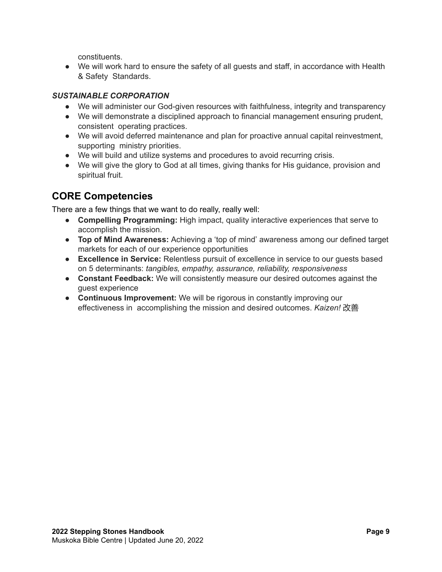constituents.

● We will work hard to ensure the safety of all guests and staff, in accordance with Health & Safety Standards.

#### *SUSTAINABLE CORPORATION*

- We will administer our God-given resources with faithfulness, integrity and transparency
- We will demonstrate a disciplined approach to financial management ensuring prudent, consistent operating practices.
- We will avoid deferred maintenance and plan for proactive annual capital reinvestment, supporting ministry priorities.
- We will build and utilize systems and procedures to avoid recurring crisis.
- We will give the glory to God at all times, giving thanks for His guidance, provision and spiritual fruit.

#### <span id="page-8-0"></span>**CORE Competencies**

There are a few things that we want to do really, really well:

- **Compelling Programming:** High impact, quality interactive experiences that serve to accomplish the mission.
- **Top of Mind Awareness:** Achieving a 'top of mind' awareness among our defined target markets for each of our experience opportunities
- **Excellence in Service:** Relentless pursuit of excellence in service to our guests based on 5 determinants: *tangibles, empathy, assurance, reliability, responsiveness*
- **Constant Feedback:** We will consistently measure our desired outcomes against the guest experience
- **Continuous Improvement:** We will be rigorous in constantly improving our effectiveness in accomplishing the mission and desired outcomes. *Kaizen!* 改善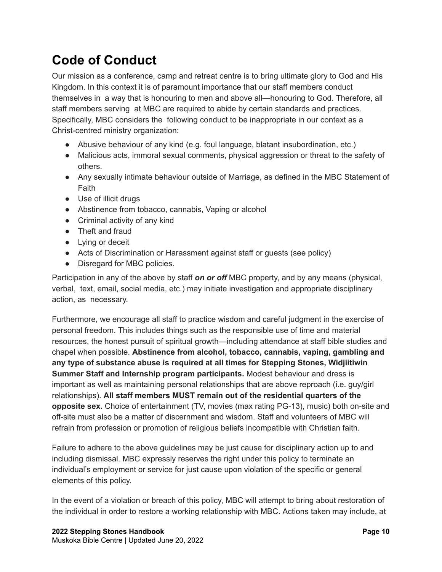## <span id="page-9-0"></span>**Code of Conduct**

Our mission as a conference, camp and retreat centre is to bring ultimate glory to God and His Kingdom. In this context it is of paramount importance that our staff members conduct themselves in a way that is honouring to men and above all—honouring to God. Therefore, all staff members serving at MBC are required to abide by certain standards and practices. Specifically, MBC considers the following conduct to be inappropriate in our context as a Christ-centred ministry organization:

- Abusive behaviour of any kind (e.g. foul language, blatant insubordination, etc.)
- Malicious acts, immoral sexual comments, physical aggression or threat to the safety of others.
- Any sexually intimate behaviour outside of Marriage, as defined in the MBC Statement of Faith
- Use of illicit drugs
- Abstinence from tobacco, cannabis, Vaping or alcohol
- Criminal activity of any kind
- Theft and fraud
- Lying or deceit
- Acts of Discrimination or Harassment against staff or quests (see policy)
- Disregard for MBC policies.

Participation in any of the above by staff *on or off* MBC property, and by any means (physical, verbal, text, email, social media, etc.) may initiate investigation and appropriate disciplinary action, as necessary.

Furthermore, we encourage all staff to practice wisdom and careful judgment in the exercise of personal freedom. This includes things such as the responsible use of time and material resources, the honest pursuit of spiritual growth—including attendance at staff bible studies and chapel when possible. **Abstinence from alcohol, tobacco, cannabis, vaping, gambling and any type of substance abuse is required at all times for Stepping Stones, Widjiitiwin Summer Staff and Internship program participants.** Modest behaviour and dress is important as well as maintaining personal relationships that are above reproach (i.e. guy/girl relationships). **All staff members MUST remain out of the residential quarters of the opposite sex.** Choice of entertainment (TV, movies (max rating PG-13), music) both on-site and off-site must also be a matter of discernment and wisdom. Staff and volunteers of MBC will refrain from profession or promotion of religious beliefs incompatible with Christian faith.

Failure to adhere to the above guidelines may be just cause for disciplinary action up to and including dismissal. MBC expressly reserves the right under this policy to terminate an individual's employment or service for just cause upon violation of the specific or general elements of this policy.

In the event of a violation or breach of this policy, MBC will attempt to bring about restoration of the individual in order to restore a working relationship with MBC. Actions taken may include, at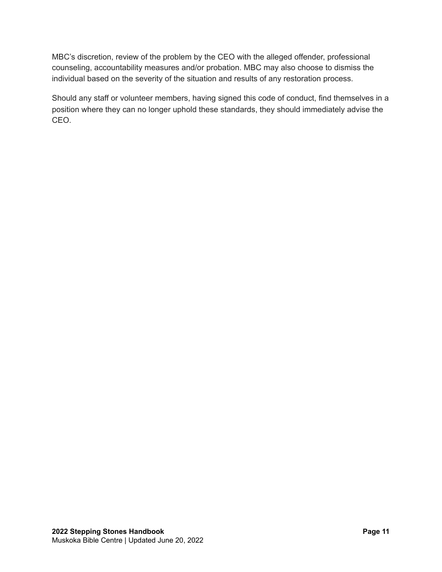MBC's discretion, review of the problem by the CEO with the alleged offender, professional counseling, accountability measures and/or probation. MBC may also choose to dismiss the individual based on the severity of the situation and results of any restoration process.

Should any staff or volunteer members, having signed this code of conduct, find themselves in a position where they can no longer uphold these standards, they should immediately advise the CEO.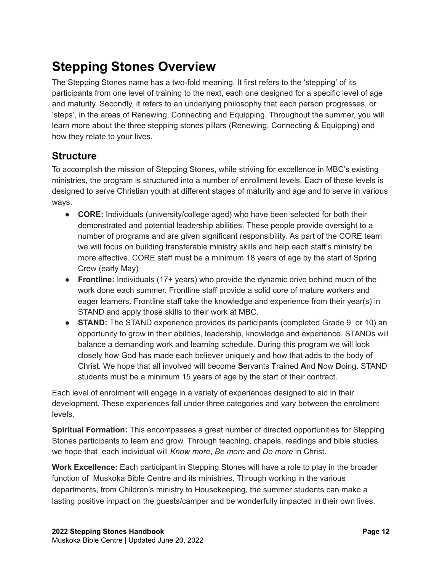## <span id="page-11-0"></span>**Stepping Stones Overview**

The Stepping Stones name has a two-fold meaning. It first refers to the 'stepping' of its participants from one level of training to the next, each one designed for a specific level of age and maturity. Secondly, it refers to an underlying philosophy that each person progresses, or 'steps', in the areas of Renewing, Connecting and Equipping. Throughout the summer, you will learn more about the three stepping stones pillars (Renewing, Connecting & Equipping) and how they relate to your lives.

#### <span id="page-11-1"></span>**Structure**

To accomplish the mission of Stepping Stones, while striving for excellence in MBC's existing ministries, the program is structured into a number of enrollment levels. Each of these levels is designed to serve Christian youth at different stages of maturity and age and to serve in various ways.

- **CORE:** Individuals (university/college aged) who have been selected for both their demonstrated and potential leadership abilities. These people provide oversight to a number of programs and are given significant responsibility. As part of the CORE team we will focus on building transferable ministry skills and help each staff's ministry be more effective. CORE staff must be a minimum 18 years of age by the start of Spring Crew (early May)
- **Frontline:** Individuals (17+ years) who provide the dynamic drive behind much of the work done each summer. Frontline staff provide a solid core of mature workers and eager learners. Frontline staff take the knowledge and experience from their year(s) in STAND and apply those skills to their work at MBC.
- **STAND:** The STAND experience provides its participants (completed Grade 9 or 10) an opportunity to grow in their abilities, leadership, knowledge and experience. STANDs will balance a demanding work and learning schedule. During this program we will look closely how God has made each believer uniquely and how that adds to the body of Christ. We hope that all involved will become **S**ervants **T**rained **A**nd **N**ow **D**oing. STAND students must be a minimum 15 years of age by the start of their contract.

Each level of enrolment will engage in a variety of experiences designed to aid in their development. These experiences fall under three categories and vary between the enrolment levels.

**Spiritual Formation:** This encompasses a great number of directed opportunities for Stepping Stones participants to learn and grow. Through teaching, chapels, readings and bible studies we hope that each individual will *Know more*, *Be more* and *Do more* in Christ.

**Work Excellence:** Each participant in Stepping Stones will have a role to play in the broader function of Muskoka Bible Centre and its ministries. Through working in the various departments, from Children's ministry to Housekeeping, the summer students can make a lasting positive impact on the guests/camper and be wonderfully impacted in their own lives.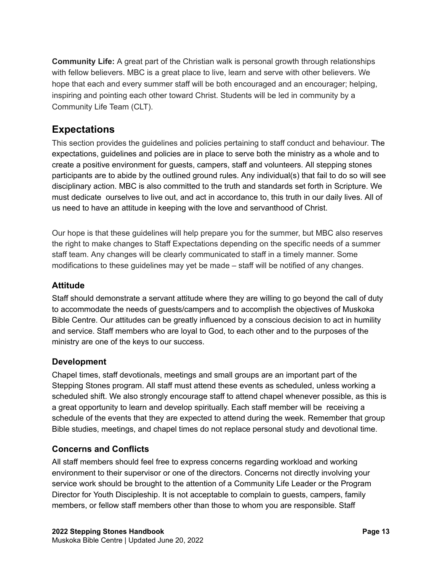**Community Life:** A great part of the Christian walk is personal growth through relationships with fellow believers. MBC is a great place to live, learn and serve with other believers. We hope that each and every summer staff will be both encouraged and an encourager; helping, inspiring and pointing each other toward Christ. Students will be led in community by a Community Life Team (CLT).

#### <span id="page-12-0"></span>**Expectations**

This section provides the guidelines and policies pertaining to staff conduct and behaviour. The expectations, guidelines and policies are in place to serve both the ministry as a whole and to create a positive environment for guests, campers, staff and volunteers. All stepping stones participants are to abide by the outlined ground rules. Any individual(s) that fail to do so will see disciplinary action. MBC is also committed to the truth and standards set forth in Scripture. We must dedicate ourselves to live out, and act in accordance to, this truth in our daily lives. All of us need to have an attitude in keeping with the love and servanthood of Christ.

Our hope is that these guidelines will help prepare you for the summer, but MBC also reserves the right to make changes to Staff Expectations depending on the specific needs of a summer staff team. Any changes will be clearly communicated to staff in a timely manner. Some modifications to these guidelines may yet be made – staff will be notified of any changes.

#### **Attitude**

Staff should demonstrate a servant attitude where they are willing to go beyond the call of duty to accommodate the needs of guests/campers and to accomplish the objectives of Muskoka Bible Centre. Our attitudes can be greatly influenced by a conscious decision to act in humility and service. Staff members who are loyal to God, to each other and to the purposes of the ministry are one of the keys to our success.

#### **Development**

Chapel times, staff devotionals, meetings and small groups are an important part of the Stepping Stones program. All staff must attend these events as scheduled, unless working a scheduled shift. We also strongly encourage staff to attend chapel whenever possible, as this is a great opportunity to learn and develop spiritually. Each staff member will be receiving a schedule of the events that they are expected to attend during the week. Remember that group Bible studies, meetings, and chapel times do not replace personal study and devotional time.

#### **Concerns and Conflicts**

All staff members should feel free to express concerns regarding workload and working environment to their supervisor or one of the directors. Concerns not directly involving your service work should be brought to the attention of a Community Life Leader or the Program Director for Youth Discipleship. It is not acceptable to complain to guests, campers, family members, or fellow staff members other than those to whom you are responsible. Staff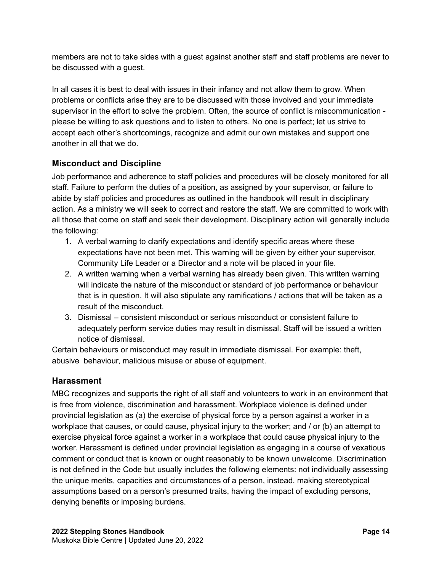members are not to take sides with a guest against another staff and staff problems are never to be discussed with a guest.

In all cases it is best to deal with issues in their infancy and not allow them to grow. When problems or conflicts arise they are to be discussed with those involved and your immediate supervisor in the effort to solve the problem. Often, the source of conflict is miscommunication please be willing to ask questions and to listen to others. No one is perfect; let us strive to accept each other's shortcomings, recognize and admit our own mistakes and support one another in all that we do.

#### <span id="page-13-0"></span>**Misconduct and Discipline**

Job performance and adherence to staff policies and procedures will be closely monitored for all staff. Failure to perform the duties of a position, as assigned by your supervisor, or failure to abide by staff policies and procedures as outlined in the handbook will result in disciplinary action. As a ministry we will seek to correct and restore the staff. We are committed to work with all those that come on staff and seek their development. Disciplinary action will generally include the following:

- 1. A verbal warning to clarify expectations and identify specific areas where these expectations have not been met. This warning will be given by either your supervisor, Community Life Leader or a Director and a note will be placed in your file.
- 2. A written warning when a verbal warning has already been given. This written warning will indicate the nature of the misconduct or standard of job performance or behaviour that is in question. It will also stipulate any ramifications / actions that will be taken as a result of the misconduct.
- 3. Dismissal consistent misconduct or serious misconduct or consistent failure to adequately perform service duties may result in dismissal. Staff will be issued a written notice of dismissal.

Certain behaviours or misconduct may result in immediate dismissal. For example: theft, abusive behaviour, malicious misuse or abuse of equipment.

#### <span id="page-13-1"></span>**Harassment**

MBC recognizes and supports the right of all staff and volunteers to work in an environment that is free from violence, discrimination and harassment. Workplace violence is defined under provincial legislation as (a) the exercise of physical force by a person against a worker in a workplace that causes, or could cause, physical injury to the worker; and / or (b) an attempt to exercise physical force against a worker in a workplace that could cause physical injury to the worker. Harassment is defined under provincial legislation as engaging in a course of vexatious comment or conduct that is known or ought reasonably to be known unwelcome. Discrimination is not defined in the Code but usually includes the following elements: not individually assessing the unique merits, capacities and circumstances of a person, instead, making stereotypical assumptions based on a person's presumed traits, having the impact of excluding persons, denying benefits or imposing burdens.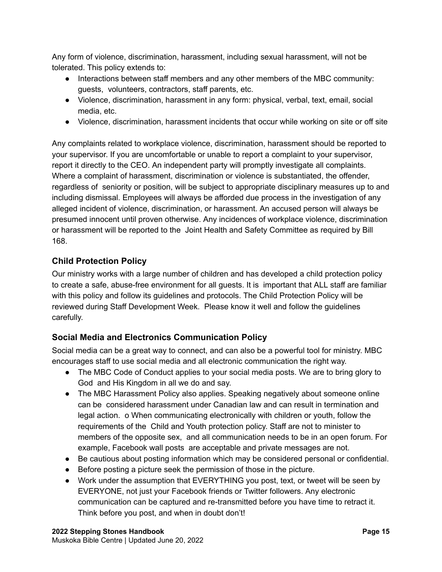Any form of violence, discrimination, harassment, including sexual harassment, will not be tolerated. This policy extends to:

- Interactions between staff members and any other members of the MBC community: guests, volunteers, contractors, staff parents, etc.
- Violence, discrimination, harassment in any form: physical, verbal, text, email, social media, etc.
- Violence, discrimination, harassment incidents that occur while working on site or off site

Any complaints related to workplace violence, discrimination, harassment should be reported to your supervisor. If you are uncomfortable or unable to report a complaint to your supervisor, report it directly to the CEO. An independent party will promptly investigate all complaints. Where a complaint of harassment, discrimination or violence is substantiated, the offender, regardless of seniority or position, will be subject to appropriate disciplinary measures up to and including dismissal. Employees will always be afforded due process in the investigation of any alleged incident of violence, discrimination, or harassment. An accused person will always be presumed innocent until proven otherwise. Any incidences of workplace violence, discrimination or harassment will be reported to the Joint Health and Safety Committee as required by Bill 168.

#### <span id="page-14-0"></span>**Child Protection Policy**

Our ministry works with a large number of children and has developed a child protection policy to create a safe, abuse-free environment for all guests. It is important that ALL staff are familiar with this policy and follow its guidelines and protocols. The Child Protection Policy will be reviewed during Staff Development Week. Please know it well and follow the guidelines carefully.

#### <span id="page-14-1"></span>**Social Media and Electronics Communication Policy**

Social media can be a great way to connect, and can also be a powerful tool for ministry. MBC encourages staff to use social media and all electronic communication the right way.

- The MBC Code of Conduct applies to your social media posts. We are to bring glory to God and His Kingdom in all we do and say.
- The MBC Harassment Policy also applies. Speaking negatively about someone online can be considered harassment under Canadian law and can result in termination and legal action. o When communicating electronically with children or youth, follow the requirements of the Child and Youth protection policy. Staff are not to minister to members of the opposite sex, and all communication needs to be in an open forum. For example, Facebook wall posts are acceptable and private messages are not.
- Be cautious about posting information which may be considered personal or confidential.
- Before posting a picture seek the permission of those in the picture.
- Work under the assumption that EVERYTHING you post, text, or tweet will be seen by EVERYONE, not just your Facebook friends or Twitter followers. Any electronic communication can be captured and re-transmitted before you have time to retract it. Think before you post, and when in doubt don't!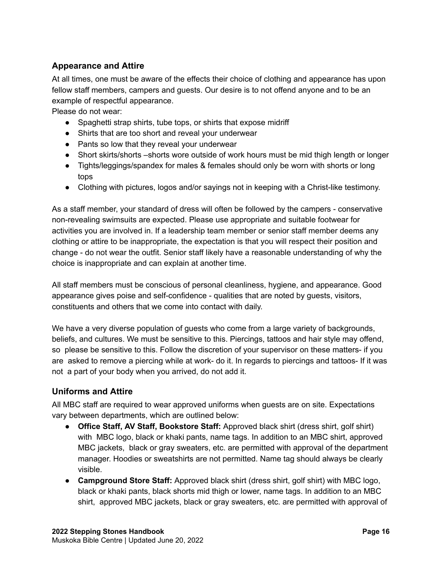#### <span id="page-15-0"></span>**Appearance and Attire**

At all times, one must be aware of the effects their choice of clothing and appearance has upon fellow staff members, campers and guests. Our desire is to not offend anyone and to be an example of respectful appearance.

Please do not wear:

- Spaghetti strap shirts, tube tops, or shirts that expose midriff
- Shirts that are too short and reveal your underwear
- Pants so low that they reveal your underwear
- Short skirts/shorts –shorts wore outside of work hours must be mid thigh length or longer
- Tights/leggings/spandex for males & females should only be worn with shorts or long tops
- Clothing with pictures, logos and/or sayings not in keeping with a Christ-like testimony.

As a staff member, your standard of dress will often be followed by the campers - conservative non-revealing swimsuits are expected. Please use appropriate and suitable footwear for activities you are involved in. If a leadership team member or senior staff member deems any clothing or attire to be inappropriate, the expectation is that you will respect their position and change - do not wear the outfit. Senior staff likely have a reasonable understanding of why the choice is inappropriate and can explain at another time.

All staff members must be conscious of personal cleanliness, hygiene, and appearance. Good appearance gives poise and self-confidence - qualities that are noted by guests, visitors, constituents and others that we come into contact with daily.

We have a very diverse population of guests who come from a large variety of backgrounds, beliefs, and cultures. We must be sensitive to this. Piercings, tattoos and hair style may offend, so please be sensitive to this. Follow the discretion of your supervisor on these matters- if you are asked to remove a piercing while at work- do it. In regards to piercings and tattoos- If it was not a part of your body when you arrived, do not add it.

#### <span id="page-15-1"></span>**Uniforms and Attire**

All MBC staff are required to wear approved uniforms when guests are on site. Expectations vary between departments, which are outlined below:

- **Office Staff, AV Staff, Bookstore Staff:** Approved black shirt (dress shirt, golf shirt) with MBC logo, black or khaki pants, name tags. In addition to an MBC shirt, approved MBC jackets, black or gray sweaters, etc. are permitted with approval of the department manager. Hoodies or sweatshirts are not permitted. Name tag should always be clearly visible.
- **Campground Store Staff:** Approved black shirt (dress shirt, golf shirt) with MBC logo, black or khaki pants, black shorts mid thigh or lower, name tags. In addition to an MBC shirt, approved MBC jackets, black or gray sweaters, etc. are permitted with approval of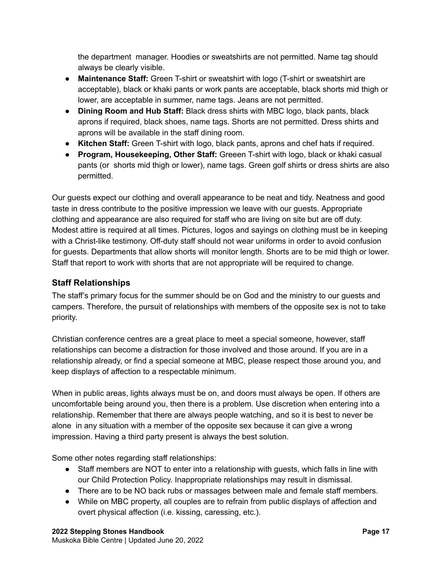the department manager. Hoodies or sweatshirts are not permitted. Name tag should always be clearly visible.

- **Maintenance Staff:** Green T-shirt or sweatshirt with logo (T-shirt or sweatshirt are acceptable), black or khaki pants or work pants are acceptable, black shorts mid thigh or lower, are acceptable in summer, name tags. Jeans are not permitted.
- **Dining Room and Hub Staff:** Black dress shirts with MBC logo, black pants, black aprons if required, black shoes, name tags. Shorts are not permitted. Dress shirts and aprons will be available in the staff dining room.
- **Kitchen Staff:** Green T-shirt with logo, black pants, aprons and chef hats if required.
- **Program, Housekeeping, Other Staff:** Greeen T-shirt with logo, black or khaki casual pants (or shorts mid thigh or lower), name tags. Green golf shirts or dress shirts are also permitted.

Our guests expect our clothing and overall appearance to be neat and tidy. Neatness and good taste in dress contribute to the positive impression we leave with our guests. Appropriate clothing and appearance are also required for staff who are living on site but are off duty. Modest attire is required at all times. Pictures, logos and sayings on clothing must be in keeping with a Christ-like testimony. Off-duty staff should not wear uniforms in order to avoid confusion for guests. Departments that allow shorts will monitor length. Shorts are to be mid thigh or lower. Staff that report to work with shorts that are not appropriate will be required to change.

#### <span id="page-16-0"></span>**Staff Relationships**

The staff's primary focus for the summer should be on God and the ministry to our guests and campers. Therefore, the pursuit of relationships with members of the opposite sex is not to take priority.

Christian conference centres are a great place to meet a special someone, however, staff relationships can become a distraction for those involved and those around. If you are in a relationship already, or find a special someone at MBC, please respect those around you, and keep displays of affection to a respectable minimum.

When in public areas, lights always must be on, and doors must always be open. If others are uncomfortable being around you, then there is a problem. Use discretion when entering into a relationship. Remember that there are always people watching, and so it is best to never be alone in any situation with a member of the opposite sex because it can give a wrong impression. Having a third party present is always the best solution.

Some other notes regarding staff relationships:

- Staff members are NOT to enter into a relationship with guests, which falls in line with our Child Protection Policy. Inappropriate relationships may result in dismissal.
- There are to be NO back rubs or massages between male and female staff members.
- While on MBC property, all couples are to refrain from public displays of affection and overt physical affection (i.e. kissing, caressing, etc.).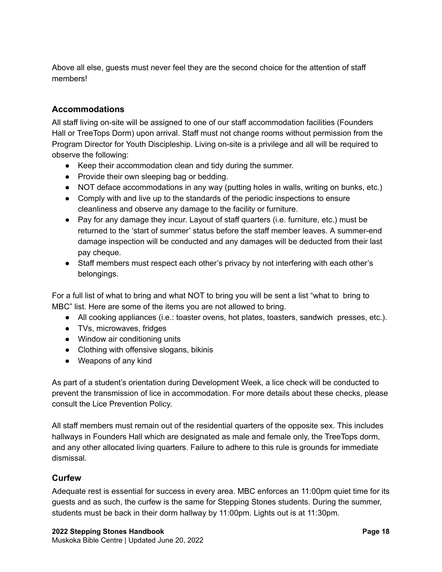Above all else, guests must never feel they are the second choice for the attention of staff members!

#### <span id="page-17-0"></span>**Accommodations**

All staff living on-site will be assigned to one of our staff accommodation facilities (Founders Hall or TreeTops Dorm) upon arrival. Staff must not change rooms without permission from the Program Director for Youth Discipleship. Living on-site is a privilege and all will be required to observe the following:

- Keep their accommodation clean and tidy during the summer.
- Provide their own sleeping bag or bedding.
- NOT deface accommodations in any way (putting holes in walls, writing on bunks, etc.)
- Comply with and live up to the standards of the periodic inspections to ensure cleanliness and observe any damage to the facility or furniture.
- $\bullet$  Pay for any damage they incur. Layout of staff quarters (i.e. furniture, etc.) must be returned to the 'start of summer' status before the staff member leaves. A summer-end damage inspection will be conducted and any damages will be deducted from their last pay cheque.
- Staff members must respect each other's privacy by not interfering with each other's belongings.

For a full list of what to bring and what NOT to bring you will be sent a list "what to bring to MBC" list. Here are some of the items you are not allowed to bring.

- All cooking appliances (i.e.: toaster ovens, hot plates, toasters, sandwich presses, etc.).
- TVs, microwaves, fridges
- Window air conditioning units
- Clothing with offensive slogans, bikinis
- Weapons of any kind

As part of a student's orientation during Development Week, a lice check will be conducted to prevent the transmission of lice in accommodation. For more details about these checks, please consult the Lice Prevention Policy.

All staff members must remain out of the residential quarters of the opposite sex. This includes hallways in Founders Hall which are designated as male and female only, the TreeTops dorm, and any other allocated living quarters. Failure to adhere to this rule is grounds for immediate dismissal.

#### <span id="page-17-1"></span>**Curfew**

Adequate rest is essential for success in every area. MBC enforces an 11:00pm quiet time for its guests and as such, the curfew is the same for Stepping Stones students. During the summer, students must be back in their dorm hallway by 11:00pm. Lights out is at 11:30pm.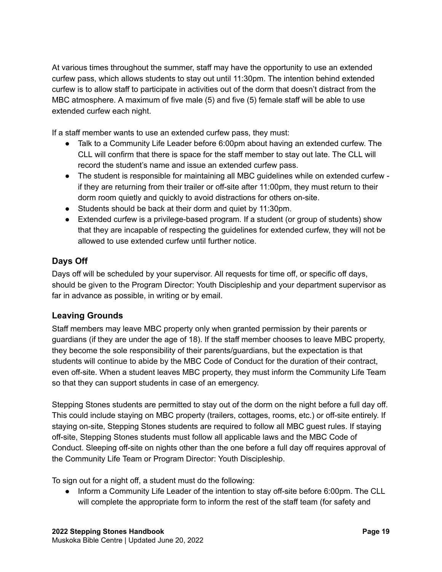At various times throughout the summer, staff may have the opportunity to use an extended curfew pass, which allows students to stay out until 11:30pm. The intention behind extended curfew is to allow staff to participate in activities out of the dorm that doesn't distract from the MBC atmosphere. A maximum of five male (5) and five (5) female staff will be able to use extended curfew each night.

If a staff member wants to use an extended curfew pass, they must:

- Talk to a Community Life Leader before 6:00pm about having an extended curfew. The CLL will confirm that there is space for the staff member to stay out late. The CLL will record the student's name and issue an extended curfew pass.
- The student is responsible for maintaining all MBC guidelines while on extended curfew if they are returning from their trailer or off-site after 11:00pm, they must return to their dorm room quietly and quickly to avoid distractions for others on-site.
- Students should be back at their dorm and quiet by 11:30pm.
- Extended curfew is a privilege-based program. If a student (or group of students) show that they are incapable of respecting the guidelines for extended curfew, they will not be allowed to use extended curfew until further notice.

#### <span id="page-18-0"></span>**Days Off**

Days off will be scheduled by your supervisor. All requests for time off, or specific off days, should be given to the Program Director: Youth Discipleship and your department supervisor as far in advance as possible, in writing or by email.

#### <span id="page-18-1"></span>**Leaving Grounds**

Staff members may leave MBC property only when granted permission by their parents or guardians (if they are under the age of 18). If the staff member chooses to leave MBC property, they become the sole responsibility of their parents/guardians, but the expectation is that students will continue to abide by the MBC Code of Conduct for the duration of their contract, even off-site. When a student leaves MBC property, they must inform the Community Life Team so that they can support students in case of an emergency.

Stepping Stones students are permitted to stay out of the dorm on the night before a full day off. This could include staying on MBC property (trailers, cottages, rooms, etc.) or off-site entirely. If staying on-site, Stepping Stones students are required to follow all MBC guest rules. If staying off-site, Stepping Stones students must follow all applicable laws and the MBC Code of Conduct. Sleeping off-site on nights other than the one before a full day off requires approval of the Community Life Team or Program Director: Youth Discipleship.

To sign out for a night off, a student must do the following:

● Inform a Community Life Leader of the intention to stay off-site before 6:00pm. The CLL will complete the appropriate form to inform the rest of the staff team (for safety and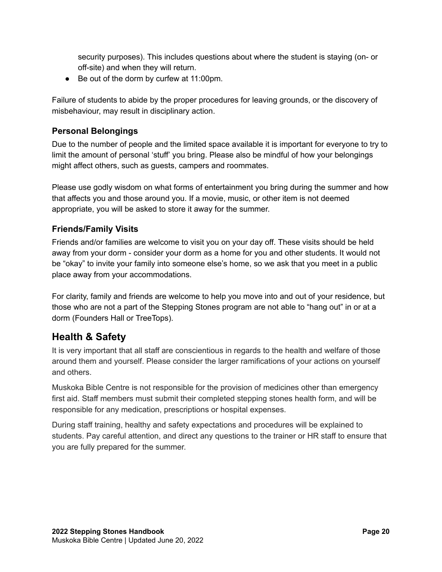security purposes). This includes questions about where the student is staying (on- or off-site) and when they will return.

● Be out of the dorm by curfew at 11:00pm.

Failure of students to abide by the proper procedures for leaving grounds, or the discovery of misbehaviour, may result in disciplinary action.

#### <span id="page-19-0"></span>**Personal Belongings**

Due to the number of people and the limited space available it is important for everyone to try to limit the amount of personal 'stuff' you bring. Please also be mindful of how your belongings might affect others, such as guests, campers and roommates.

Please use godly wisdom on what forms of entertainment you bring during the summer and how that affects you and those around you. If a movie, music, or other item is not deemed appropriate, you will be asked to store it away for the summer.

#### <span id="page-19-1"></span>**Friends/Family Visits**

Friends and/or families are welcome to visit you on your day off. These visits should be held away from your dorm - consider your dorm as a home for you and other students. It would not be "okay" to invite your family into someone else's home, so we ask that you meet in a public place away from your accommodations.

For clarity, family and friends are welcome to help you move into and out of your residence, but those who are not a part of the Stepping Stones program are not able to "hang out" in or at a dorm (Founders Hall or TreeTops).

#### <span id="page-19-2"></span>**Health & Safety**

It is very important that all staff are conscientious in regards to the health and welfare of those around them and yourself. Please consider the larger ramifications of your actions on yourself and others.

Muskoka Bible Centre is not responsible for the provision of medicines other than emergency first aid. Staff members must submit their completed stepping stones health form, and will be responsible for any medication, prescriptions or hospital expenses.

During staff training, healthy and safety expectations and procedures will be explained to students. Pay careful attention, and direct any questions to the trainer or HR staff to ensure that you are fully prepared for the summer.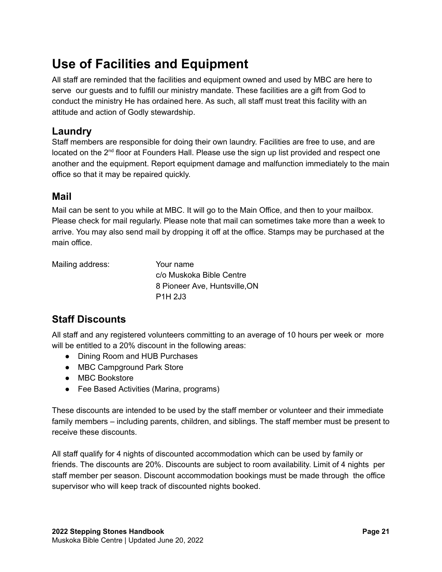## <span id="page-20-0"></span>**Use of Facilities and Equipment**

All staff are reminded that the facilities and equipment owned and used by MBC are here to serve our guests and to fulfill our ministry mandate. These facilities are a gift from God to conduct the ministry He has ordained here. As such, all staff must treat this facility with an attitude and action of Godly stewardship.

#### <span id="page-20-1"></span>**Laundry**

Staff members are responsible for doing their own laundry. Facilities are free to use, and are located on the 2<sup>nd</sup> floor at Founders Hall. Please use the sign up list provided and respect one another and the equipment. Report equipment damage and malfunction immediately to the main office so that it may be repaired quickly.

#### <span id="page-20-2"></span>**Mail**

Mail can be sent to you while at MBC. It will go to the Main Office, and then to your mailbox. Please check for mail regularly. Please note that mail can sometimes take more than a week to arrive. You may also send mail by dropping it off at the office. Stamps may be purchased at the main office.

Mailing address: Your name

c/o Muskoka Bible Centre 8 Pioneer Ave, Huntsville,ON P1H 2J3

## <span id="page-20-3"></span>**Staff Discounts**

All staff and any registered volunteers committing to an average of 10 hours per week or more will be entitled to a 20% discount in the following areas:

- Dining Room and HUB Purchases
- MBC Campground Park Store
- MBC Bookstore
- Fee Based Activities (Marina, programs)

These discounts are intended to be used by the staff member or volunteer and their immediate family members – including parents, children, and siblings. The staff member must be present to receive these discounts.

All staff qualify for 4 nights of discounted accommodation which can be used by family or friends. The discounts are 20%. Discounts are subject to room availability. Limit of 4 nights per staff member per season. Discount accommodation bookings must be made through the office supervisor who will keep track of discounted nights booked.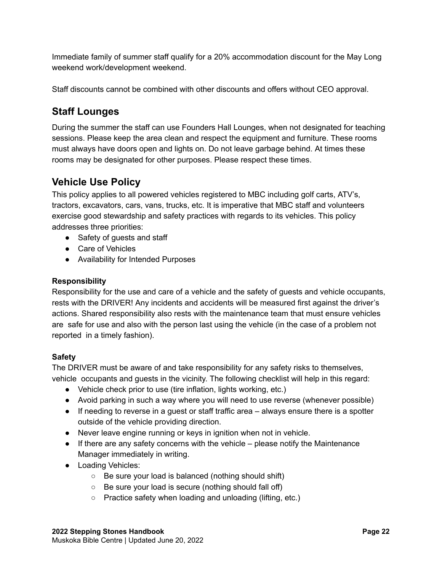Immediate family of summer staff qualify for a 20% accommodation discount for the May Long weekend work/development weekend.

<span id="page-21-0"></span>Staff discounts cannot be combined with other discounts and offers without CEO approval.

#### **Staff Lounges**

During the summer the staff can use Founders Hall Lounges, when not designated for teaching sessions. Please keep the area clean and respect the equipment and furniture. These rooms must always have doors open and lights on. Do not leave garbage behind. At times these rooms may be designated for other purposes. Please respect these times.

## <span id="page-21-1"></span>**Vehicle Use Policy**

This policy applies to all powered vehicles registered to MBC including golf carts, ATV's, tractors, excavators, cars, vans, trucks, etc. It is imperative that MBC staff and volunteers exercise good stewardship and safety practices with regards to its vehicles. This policy addresses three priorities:

- Safety of guests and staff
- Care of Vehicles
- Availability for Intended Purposes

#### **Responsibility**

Responsibility for the use and care of a vehicle and the safety of guests and vehicle occupants, rests with the DRIVER! Any incidents and accidents will be measured first against the driver's actions. Shared responsibility also rests with the maintenance team that must ensure vehicles are safe for use and also with the person last using the vehicle (in the case of a problem not reported in a timely fashion).

#### **Safety**

The DRIVER must be aware of and take responsibility for any safety risks to themselves, vehicle occupants and guests in the vicinity. The following checklist will help in this regard:

- Vehicle check prior to use (tire inflation, lights working, etc.)
- Avoid parking in such a way where you will need to use reverse (whenever possible)
- If needing to reverse in a guest or staff traffic area always ensure there is a spotter outside of the vehicle providing direction.
- Never leave engine running or keys in ignition when not in vehicle.
- $\bullet$  If there are any safety concerns with the vehicle please notify the Maintenance Manager immediately in writing.
- Loading Vehicles:
	- Be sure your load is balanced (nothing should shift)
	- Be sure your load is secure (nothing should fall off)
	- Practice safety when loading and unloading (lifting, etc.)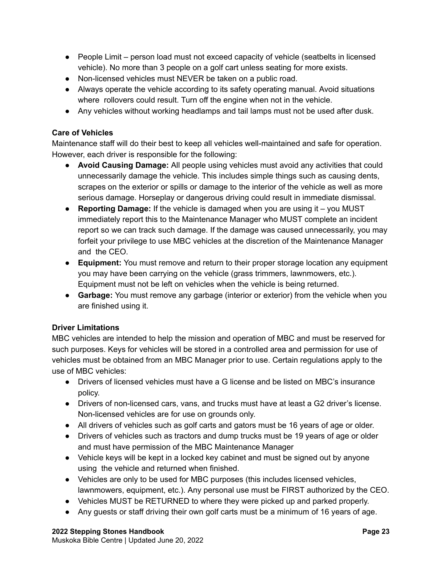- People Limit person load must not exceed capacity of vehicle (seatbelts in licensed vehicle). No more than 3 people on a golf cart unless seating for more exists.
- Non-licensed vehicles must NEVER be taken on a public road.
- Always operate the vehicle according to its safety operating manual. Avoid situations where rollovers could result. Turn off the engine when not in the vehicle.
- Any vehicles without working headlamps and tail lamps must not be used after dusk.

#### **Care of Vehicles**

Maintenance staff will do their best to keep all vehicles well-maintained and safe for operation. However, each driver is responsible for the following:

- **Avoid Causing Damage:** All people using vehicles must avoid any activities that could unnecessarily damage the vehicle. This includes simple things such as causing dents, scrapes on the exterior or spills or damage to the interior of the vehicle as well as more serious damage. Horseplay or dangerous driving could result in immediate dismissal.
- **Reporting Damage:** If the vehicle is damaged when you are using it you MUST immediately report this to the Maintenance Manager who MUST complete an incident report so we can track such damage. If the damage was caused unnecessarily, you may forfeit your privilege to use MBC vehicles at the discretion of the Maintenance Manager and the CEO.
- **Equipment:** You must remove and return to their proper storage location any equipment you may have been carrying on the vehicle (grass trimmers, lawnmowers, etc.). Equipment must not be left on vehicles when the vehicle is being returned.
- **Garbage:** You must remove any garbage (interior or exterior) from the vehicle when you are finished using it.

#### **Driver Limitations**

MBC vehicles are intended to help the mission and operation of MBC and must be reserved for such purposes. Keys for vehicles will be stored in a controlled area and permission for use of vehicles must be obtained from an MBC Manager prior to use. Certain regulations apply to the use of MBC vehicles:

- Drivers of licensed vehicles must have a G license and be listed on MBC's insurance policy.
- Drivers of non-licensed cars, vans, and trucks must have at least a G2 driver's license. Non-licensed vehicles are for use on grounds only.
- All drivers of vehicles such as golf carts and gators must be 16 years of age or older.
- Drivers of vehicles such as tractors and dump trucks must be 19 years of age or older and must have permission of the MBC Maintenance Manager
- Vehicle keys will be kept in a locked key cabinet and must be signed out by anyone using the vehicle and returned when finished.
- Vehicles are only to be used for MBC purposes (this includes licensed vehicles, lawnmowers, equipment, etc.). Any personal use must be FIRST authorized by the CEO.
- Vehicles MUST be RETURNED to where they were picked up and parked properly.
- Any guests or staff driving their own golf carts must be a minimum of 16 years of age.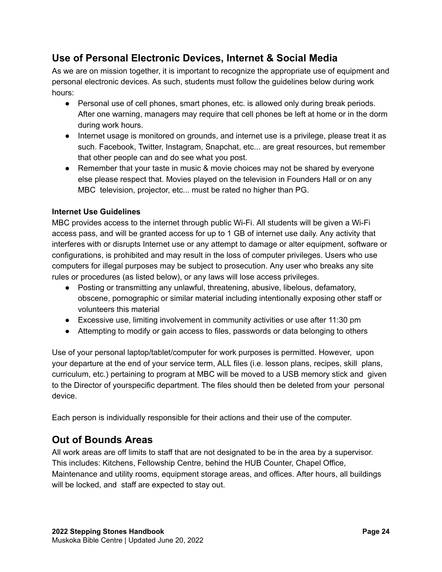#### <span id="page-23-0"></span>**Use of Personal Electronic Devices, Internet & Social Media**

As we are on mission together, it is important to recognize the appropriate use of equipment and personal electronic devices. As such, students must follow the guidelines below during work hours:

- Personal use of cell phones, smart phones, etc. is allowed only during break periods. After one warning, managers may require that cell phones be left at home or in the dorm during work hours.
- Internet usage is monitored on grounds, and internet use is a privilege, please treat it as such. Facebook, Twitter, Instagram, Snapchat, etc... are great resources, but remember that other people can and do see what you post.
- Remember that your taste in music & movie choices may not be shared by everyone else please respect that. Movies played on the television in Founders Hall or on any MBC television, projector, etc... must be rated no higher than PG.

#### **Internet Use Guidelines**

MBC provides access to the internet through public Wi-Fi. All students will be given a Wi-Fi access pass, and will be granted access for up to 1 GB of internet use daily. Any activity that interferes with or disrupts Internet use or any attempt to damage or alter equipment, software or configurations, is prohibited and may result in the loss of computer privileges. Users who use computers for illegal purposes may be subject to prosecution. Any user who breaks any site rules or procedures (as listed below), or any laws will lose access privileges.

- Posting or transmitting any unlawful, threatening, abusive, libelous, defamatory, obscene, pornographic or similar material including intentionally exposing other staff or volunteers this material
- Excessive use, limiting involvement in community activities or use after 11:30 pm
- Attempting to modify or gain access to files, passwords or data belonging to others

Use of your personal laptop/tablet/computer for work purposes is permitted. However, upon your departure at the end of your service term, ALL files (i.e. lesson plans, recipes, skill plans, curriculum, etc.) pertaining to program at MBC will be moved to a USB memory stick and given to the Director of yourspecific department. The files should then be deleted from your personal device.

Each person is individually responsible for their actions and their use of the computer.

#### <span id="page-23-1"></span>**Out of Bounds Areas**

All work areas are off limits to staff that are not designated to be in the area by a supervisor. This includes: Kitchens, Fellowship Centre, behind the HUB Counter, Chapel Office, Maintenance and utility rooms, equipment storage areas, and offices. After hours, all buildings will be locked, and staff are expected to stay out.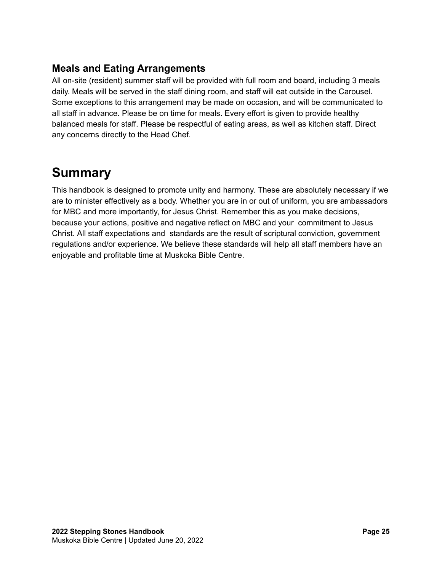#### <span id="page-24-0"></span>**Meals and Eating Arrangements**

All on-site (resident) summer staff will be provided with full room and board, including 3 meals daily. Meals will be served in the staff dining room, and staff will eat outside in the Carousel. Some exceptions to this arrangement may be made on occasion, and will be communicated to all staff in advance. Please be on time for meals. Every effort is given to provide healthy balanced meals for staff. Please be respectful of eating areas, as well as kitchen staff. Direct any concerns directly to the Head Chef.

## <span id="page-24-1"></span>**Summary**

This handbook is designed to promote unity and harmony. These are absolutely necessary if we are to minister effectively as a body. Whether you are in or out of uniform, you are ambassadors for MBC and more importantly, for Jesus Christ. Remember this as you make decisions, because your actions, positive and negative reflect on MBC and your commitment to Jesus Christ. All staff expectations and standards are the result of scriptural conviction, government regulations and/or experience. We believe these standards will help all staff members have an enjoyable and profitable time at Muskoka Bible Centre.